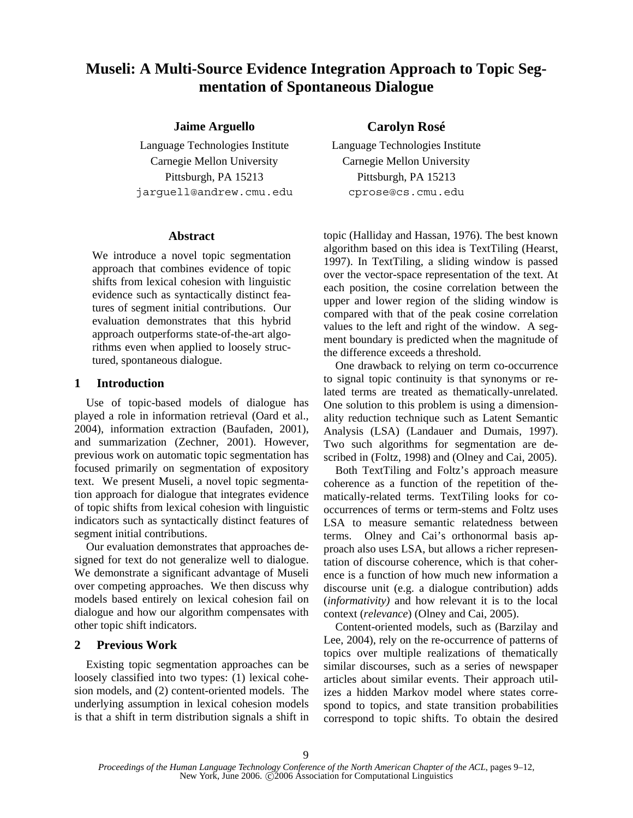# **Museli: A Multi-Source Evidence Integration Approach to Topic Segmentation of Spontaneous Dialogue**

# **Jaime Arguello Carolyn Rosé**

Language Technologies Institute Language Technologies Institute Carnegie Mellon University Carnegie Mellon University Pittsburgh, PA 15213 Pittsburgh, PA 15213 jarguell@andrew.cmu.edu cprose@cs.cmu.edu

### **Abstract**

We introduce a novel topic segmentation approach that combines evidence of topic shifts from lexical cohesion with linguistic evidence such as syntactically distinct features of segment initial contributions. Our evaluation demonstrates that this hybrid approach outperforms state-of-the-art algorithms even when applied to loosely structured, spontaneous dialogue.

# **1 Introduction**

Use of topic-based models of dialogue has played a role in information retrieval (Oard et al., 2004), information extraction (Baufaden, 2001), and summarization (Zechner, 2001). However, previous work on automatic topic segmentation has focused primarily on segmentation of expository text. We present Museli, a novel topic segmentation approach for dialogue that integrates evidence of topic shifts from lexical cohesion with linguistic indicators such as syntactically distinct features of segment initial contributions.

Our evaluation demonstrates that approaches designed for text do not generalize well to dialogue. We demonstrate a significant advantage of Museli over competing approaches. We then discuss why models based entirely on lexical cohesion fail on dialogue and how our algorithm compensates with other topic shift indicators.

# **2 Previous Work**

Existing topic segmentation approaches can be loosely classified into two types: (1) lexical cohesion models, and (2) content-oriented models. The underlying assumption in lexical cohesion models is that a shift in term distribution signals a shift in

topic (Halliday and Hassan, 1976). The best known algorithm based on this idea is TextTiling (Hearst, 1997). In TextTiling, a sliding window is passed over the vector-space representation of the text. At each position, the cosine correlation between the upper and lower region of the sliding window is compared with that of the peak cosine correlation values to the left and right of the window. A segment boundary is predicted when the magnitude of the difference exceeds a threshold.

One drawback to relying on term co-occurrence to signal topic continuity is that synonyms or related terms are treated as thematically-unrelated. One solution to this problem is using a dimensionality reduction technique such as Latent Semantic Analysis (LSA) (Landauer and Dumais, 1997). Two such algorithms for segmentation are described in (Foltz, 1998) and (Olney and Cai, 2005).

Both TextTiling and Foltz's approach measure coherence as a function of the repetition of thematically-related terms. TextTiling looks for cooccurrences of terms or term-stems and Foltz uses LSA to measure semantic relatedness between terms. Olney and Cai's orthonormal basis approach also uses LSA, but allows a richer representation of discourse coherence, which is that coherence is a function of how much new information a discourse unit (e.g. a dialogue contribution) adds (*informativity)* and how relevant it is to the local context (*relevance*) (Olney and Cai, 2005).

Content-oriented models, such as (Barzilay and Lee, 2004), rely on the re-occurrence of patterns of topics over multiple realizations of thematically similar discourses, such as a series of newspaper articles about similar events. Their approach utilizes a hidden Markov model where states correspond to topics, and state transition probabilities correspond to topic shifts. To obtain the desired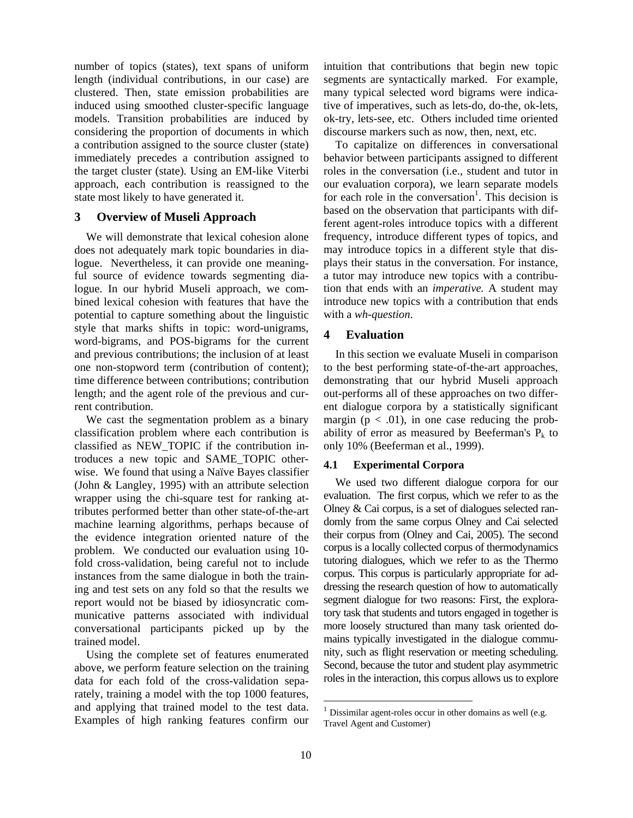number of topics (states), text spans of uniform length (individual contributions, in our case) are clustered. Then, state emission probabilities are induced using smoothed cluster-specific language models. Transition probabilities are induced by considering the proportion of documents in which a contribution assigned to the source cluster (state) immediately precedes a contribution assigned to the target cluster (state). Using an EM-like Viterbi approach, each contribution is reassigned to the state most likely to have generated it.

#### **3 Overview of Museli Approach**

We will demonstrate that lexical cohesion alone does not adequately mark topic boundaries in dialogue. Nevertheless, it can provide one meaningful source of evidence towards segmenting dialogue. In our hybrid Museli approach, we combined lexical cohesion with features that have the potential to capture something about the linguistic style that marks shifts in topic: word-unigrams, word-bigrams, and POS-bigrams for the current and previous contributions; the inclusion of at least one non-stopword term (contribution of content); time difference between contributions; contribution length; and the agent role of the previous and current contribution.

We cast the segmentation problem as a binary classification problem where each contribution is classified as NEW\_TOPIC if the contribution introduces a new topic and SAME\_TOPIC otherwise. We found that using a Naïve Bayes classifier (John & Langley, 1995) with an attribute selection wrapper using the chi-square test for ranking attributes performed better than other state-of-the-art machine learning algorithms, perhaps because of the evidence integration oriented nature of the problem. We conducted our evaluation using 10 fold cross-validation, being careful not to include instances from the same dialogue in both the training and test sets on any fold so that the results we report would not be biased by idiosyncratic communicative patterns associated with individual conversational participants picked up by the trained model.

Using the complete set of features enumerated above, we perform feature selection on the training data for each fold of the cross-validation separately, training a model with the top 1000 features, and applying that trained model to the test data. Examples of high ranking features confirm our intuition that contributions that begin new topic segments are syntactically marked. For example, many typical selected word bigrams were indicative of imperatives, such as lets-do, do-the, ok-lets, ok-try, lets-see, etc. Others included time oriented discourse markers such as now, then, next, etc.

To capitalize on differences in conversational behavior between participants assigned to different roles in the conversation (i.e., student and tutor in our evaluation corpora), we learn separate models for each role in the conversation<sup>1</sup>. This decision is based on the observation that participants with different agent-roles introduce topics with a different frequency, introduce different types of topics, and may introduce topics in a different style that displays their status in the conversation. For instance, a tutor may introduce new topics with a contribution that ends with an *imperative.* A student may introduce new topics with a contribution that ends with a *wh-question*.

# **4 Evaluation**

In this section we evaluate Museli in comparison to the best performing state-of-the-art approaches, demonstrating that our hybrid Museli approach out-performs all of these approaches on two different dialogue corpora by a statistically significant margin ( $p < .01$ ), in one case reducing the probability of error as measured by Beeferman's  $P_k$  to only 10% (Beeferman et al., 1999).

#### **4.1 Experimental Corpora**

We used two different dialogue corpora for our evaluation. The first corpus, which we refer to as the Olney & Cai corpus, is a set of dialogues selected randomly from the same corpus Olney and Cai selected their corpus from (Olney and Cai, 2005). The second corpus is a locally collected corpus of thermodynamics tutoring dialogues, which we refer to as the Thermo corpus. This corpus is particularly appropriate for addressing the research question of how to automatically segment dialogue for two reasons: First, the exploratory task that students and tutors engaged in together is more loosely structured than many task oriented domains typically investigated in the dialogue community, such as flight reservation or meeting scheduling. Second, because the tutor and student play asymmetric roles in the interaction, this corpus allows us to explore

 $1$  Dissimilar agent-roles occur in other domains as well (e.g. Travel Agent and Customer)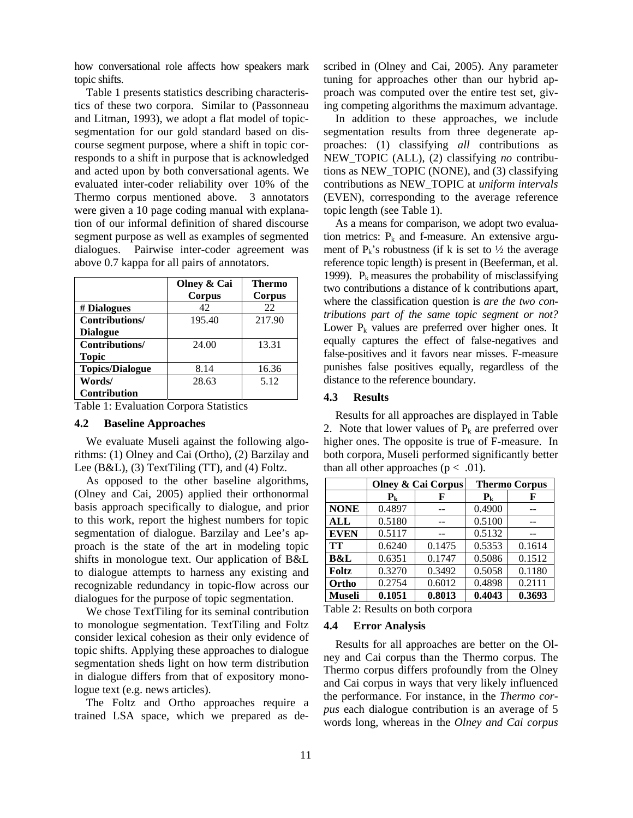how conversational role affects how speakers mark topic shifts.

Table 1 presents statistics describing characteristics of these two corpora. Similar to (Passonneau and Litman, 1993), we adopt a flat model of topicsegmentation for our gold standard based on discourse segment purpose, where a shift in topic corresponds to a shift in purpose that is acknowledged and acted upon by both conversational agents. We evaluated inter-coder reliability over 10% of the Thermo corpus mentioned above. 3 annotators were given a 10 page coding manual with explanation of our informal definition of shared discourse segment purpose as well as examples of segmented dialogues. Pairwise inter-coder agreement was above 0.7 kappa for all pairs of annotators.

|                        | Olney & Cai<br>Corpus | Thermo<br>Corpus |
|------------------------|-----------------------|------------------|
| # Dialogues            | 42                    | 22               |
| Contributions/         | 195.40                | 217.90           |
| <b>Dialogue</b>        |                       |                  |
| Contributions/         | 24.00                 | 13.31            |
| <b>Topic</b>           |                       |                  |
| <b>Topics/Dialogue</b> | 8.14                  | 16.36            |
| Words/                 | 28.63                 | 5.12             |
| Contribution           |                       |                  |

Table 1: Evaluation Corpora Statistics

#### **4.2 Baseline Approaches**

We evaluate Museli against the following algorithms: (1) Olney and Cai (Ortho), (2) Barzilay and Lee (B&L), (3) TextTiling (TT), and (4) Foltz.

As opposed to the other baseline algorithms, (Olney and Cai, 2005) applied their orthonormal basis approach specifically to dialogue, and prior to this work, report the highest numbers for topic segmentation of dialogue. Barzilay and Lee's approach is the state of the art in modeling topic shifts in monologue text. Our application of B&L to dialogue attempts to harness any existing and recognizable redundancy in topic-flow across our dialogues for the purpose of topic segmentation.

We chose TextTiling for its seminal contribution to monologue segmentation. TextTiling and Foltz consider lexical cohesion as their only evidence of topic shifts. Applying these approaches to dialogue segmentation sheds light on how term distribution in dialogue differs from that of expository monologue text (e.g. news articles).

The Foltz and Ortho approaches require a trained LSA space, which we prepared as described in (Olney and Cai, 2005). Any parameter tuning for approaches other than our hybrid approach was computed over the entire test set, giving competing algorithms the maximum advantage.

In addition to these approaches, we include segmentation results from three degenerate approaches: (1) classifying *all* contributions as NEW\_TOPIC (ALL), (2) classifying *no* contributions as NEW\_TOPIC (NONE), and (3) classifying contributions as NEW\_TOPIC at *uniform intervals* (EVEN), corresponding to the average reference topic length (see Table 1).

As a means for comparison, we adopt two evaluation metrics:  $P_k$  and f-measure. An extensive argument of  $P_k$ 's robustness (if k is set to  $\frac{1}{2}$  the average reference topic length) is present in (Beeferman, et al. 1999).  $P_k$  measures the probability of misclassifying two contributions a distance of k contributions apart, where the classification question is *are the two contributions part of the same topic segment or not?* Lower  $P_k$  values are preferred over higher ones. It equally captures the effect of false-negatives and false-positives and it favors near misses. F-measure punishes false positives equally, regardless of the distance to the reference boundary.

#### **4.3 Results**

Results for all approaches are displayed in Table 2. Note that lower values of  $P_k$  are preferred over higher ones. The opposite is true of F-measure. In both corpora, Museli performed significantly better than all other approaches ( $p < .01$ ).

|                | <b>Olney &amp; Cai Corpus</b> |        | <b>Thermo Corpus</b> |        |
|----------------|-------------------------------|--------|----------------------|--------|
|                | $P_{k}$                       | F      | $P_{k}$              | F      |
| <b>NONE</b>    | 0.4897                        |        | 0.4900               |        |
| ALL            | 0.5180                        |        | 0.5100               |        |
| <b>EVEN</b>    | 0.5117                        |        | 0.5132               |        |
| TT             | 0.6240                        | 0.1475 | 0.5353               | 0.1614 |
| <b>B&amp;L</b> | 0.6351                        | 0.1747 | 0.5086               | 0.1512 |
| Foltz          | 0.3270                        | 0.3492 | 0.5058               | 0.1180 |
| Ortho          | 0.2754                        | 0.6012 | 0.4898               | 0.2111 |
| <b>Museli</b>  | 0.1051                        | 0.8013 | 0.4043               | 0.3693 |

Table 2: Results on both corpora

#### **4.4 Error Analysis**

Results for all approaches are better on the Olney and Cai corpus than the Thermo corpus. The Thermo corpus differs profoundly from the Olney and Cai corpus in ways that very likely influenced the performance. For instance, in the *Thermo corpus* each dialogue contribution is an average of 5 words long, whereas in the *Olney and Cai corpus*